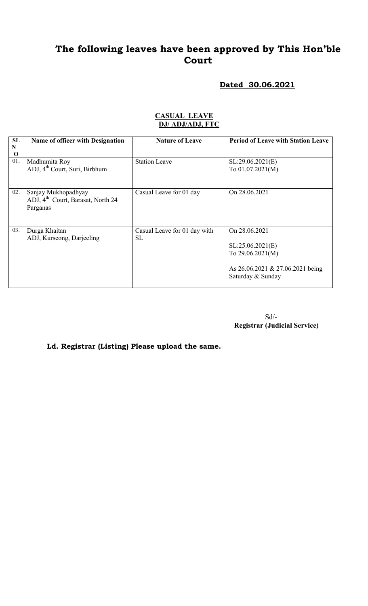# Dated 30.06.2021

| <b>CASUAL LEAVE</b> |  |
|---------------------|--|
| DJ/ ADJ/ADJ, FTC    |  |

| SL       | Name of officer with Designation              | <b>Nature of Leave</b>       | <b>Period of Leave with Station Leave</b> |
|----------|-----------------------------------------------|------------------------------|-------------------------------------------|
| N        |                                               |                              |                                           |
| $\bf{O}$ |                                               |                              |                                           |
| 01.      | Madhumita Roy                                 | <b>Station Leave</b>         | SL:29.06.2021(E)                          |
|          | ADJ, 4 <sup>th</sup> Court, Suri, Birbhum     |                              | To $01.07.2021(M)$                        |
|          |                                               |                              |                                           |
|          |                                               |                              |                                           |
|          |                                               |                              |                                           |
| 02.      | Sanjay Mukhopadhyay                           | Casual Leave for 01 day      | On 28.06.2021                             |
|          | ADJ, 4 <sup>th</sup> Court, Barasat, North 24 |                              |                                           |
|          |                                               |                              |                                           |
|          | Parganas                                      |                              |                                           |
|          |                                               |                              |                                           |
|          |                                               |                              |                                           |
| 03.      | Durga Khaitan                                 | Casual Leave for 01 day with | On 28.06.2021                             |
|          | ADJ, Kurseong, Darjeeling                     | <b>SL</b>                    |                                           |
|          |                                               |                              |                                           |
|          |                                               |                              | SL:25.06.2021(E)                          |
|          |                                               |                              | To $29.06.2021(M)$                        |
|          |                                               |                              |                                           |
|          |                                               |                              | As 26.06.2021 & 27.06.2021 being          |
|          |                                               |                              |                                           |
|          |                                               |                              | Saturday & Sunday                         |
|          |                                               |                              |                                           |

 Sd/- Registrar (Judicial Service)

Ld. Registrar (Listing) Please upload the same.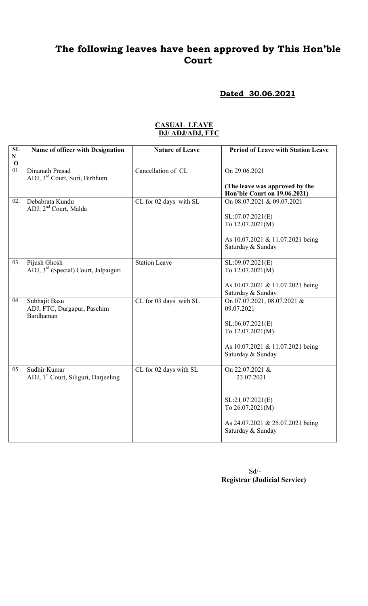#### Dated 30.06.2021

| SL                       | Name of officer with Designation                                 | <b>Nature of Leave</b> | <b>Period of Leave with Station Leave</b>                      |
|--------------------------|------------------------------------------------------------------|------------------------|----------------------------------------------------------------|
| ${\bf N}$<br>$\mathbf 0$ |                                                                  |                        |                                                                |
| $\overline{01}$ .        | Dinanath Prasad<br>ADJ, 3 <sup>rd</sup> Court, Suri, Birbhum     | Cancellation of CL     | On 29.06.2021                                                  |
|                          |                                                                  |                        | (The leave was approved by the<br>Hon'ble Court on 19.06.2021) |
| 02.                      | Debabrata Kundu                                                  | CL for 02 days with SL | On 08.07.2021 & 09.07.2021                                     |
|                          | ADJ, 2 <sup>nd</sup> Court, Malda                                |                        | SL:07.07.2021(E)<br>To 12.07.2021(M)                           |
|                          |                                                                  |                        | As 10.07.2021 & 11.07.2021 being<br>Saturday & Sunday          |
| 03.                      | Pijush Ghosh<br>ADJ, 3 <sup>rd</sup> (Special) Court, Jalpaiguri | <b>Station Leave</b>   | SL:09.07.2021(E)<br>To 12.07.2021(M)                           |
|                          |                                                                  |                        | As 10.07.2021 & 11.07.2021 being<br>Saturday & Sunday          |
| 04.                      | Subhajit Basu<br>ADJ, FTC, Durgapur, Paschim<br>Bardhaman        | CL for 03 days with SL | On 07.07.2021, 08.07.2021 &<br>09.07.2021                      |
|                          |                                                                  |                        | SL:06.07.2021(E)<br>To 12.07.2021(M)                           |
|                          |                                                                  |                        | As 10.07.2021 & 11.07.2021 being<br>Saturday & Sunday          |
| 05.                      | Sudhir Kumar<br>ADJ, 1 <sup>st</sup> Court, Siliguri, Darjeeling | CL for 02 days with SL | On 22.07.2021 &<br>23.07.2021                                  |
|                          |                                                                  |                        | SL:21.07.2021(E)<br>To 26.07.2021(M)                           |
|                          |                                                                  |                        | As 24.07.2021 & 25.07.2021 being<br>Saturday & Sunday          |

#### CASUAL LEAVE DJ/ ADJ/ADJ, FTC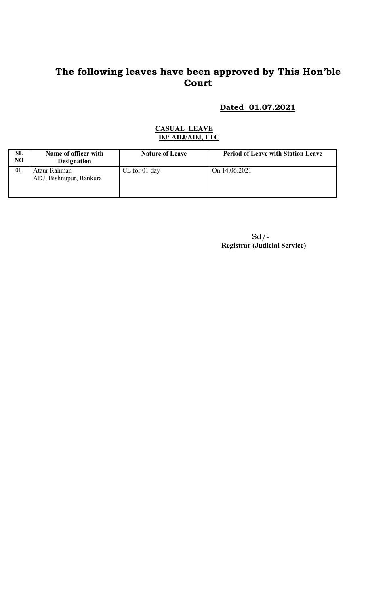#### Dated 01.07.2021

#### CASUAL LEAVE DJ/ ADJ/ADJ, FTC

| SL<br>N <sub>O</sub> | Name of officer with<br><b>Designation</b> | <b>Nature of Leave</b> | <b>Period of Leave with Station Leave</b> |
|----------------------|--------------------------------------------|------------------------|-------------------------------------------|
| 01                   | Ataur Rahman<br>ADJ, Bishnupur, Bankura    | $CL$ for 01 day        | On 14.06.2021                             |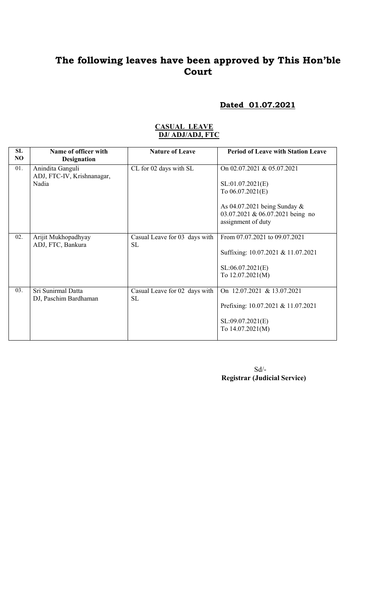### Dated 01.07.2021

#### CASUAL LEAVE DJ/ ADJ/ADJ, FTC

| <b>SL</b><br>NO | Name of officer with<br><b>Designation</b>              | <b>Nature of Leave</b>                     | <b>Period of Leave with Station Leave</b>                                                                                                                        |
|-----------------|---------------------------------------------------------|--------------------------------------------|------------------------------------------------------------------------------------------------------------------------------------------------------------------|
| 01.             | Anindita Ganguli<br>ADJ, FTC-IV, Krishnanagar,<br>Nadia | CL for 02 days with SL                     | On 02.07.2021 & 05.07.2021<br>SL:01.07.2021(E)<br>To $06.07.2021(E)$<br>As $04.07.2021$ being Sunday &<br>03.07.2021 & 06.07.2021 being no<br>assignment of duty |
| 02.             | Arijit Mukhopadhyay<br>ADJ, FTC, Bankura                | Casual Leave for 03 days with<br><b>SL</b> | From 07.07.2021 to 09.07.2021<br>Suffixing: 10.07.2021 & 11.07.2021<br>SL:06.07.2021(E)<br>To 12.07.2021(M)                                                      |
| 03.             | Sri Sunirmal Datta<br>DJ, Paschim Bardhaman             | Casual Leave for 02 days with<br><b>SL</b> | On 12.07.2021 & 13.07.2021<br>Prefixing: 10.07.2021 & 11.07.2021<br>SL:09.07.2021(E)<br>To 14.07.2021(M)                                                         |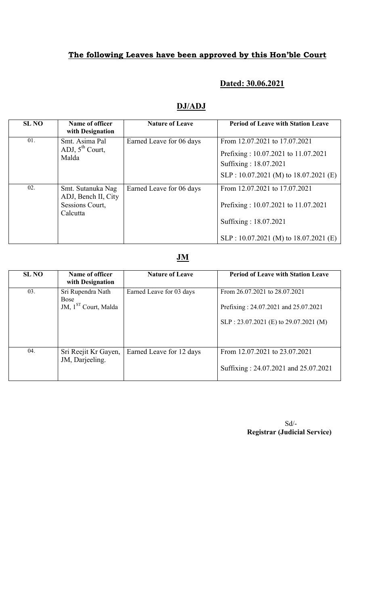## Dated: 30.06.2021

## DJ/ADJ

| <b>SL NO</b> | Name of officer<br>with Designation                                     | <b>Nature of Leave</b>   | <b>Period of Leave with Station Leave</b>                                                                                                |
|--------------|-------------------------------------------------------------------------|--------------------------|------------------------------------------------------------------------------------------------------------------------------------------|
| 01.          | Smt. Asima Pal<br>ADJ, $5^{th}$ Court,<br>Malda                         | Earned Leave for 06 days | From 12.07.2021 to 17.07.2021<br>Prefixing: 10.07.2021 to 11.07.2021<br>Suffixing: 18.07.2021<br>$SLP: 10.07.2021 (M)$ to 18.07.2021 (E) |
| 02.          | Smt. Sutanuka Nag<br>ADJ, Bench II, City<br>Sessions Court,<br>Calcutta | Earned Leave for 06 days | From 12.07.2021 to 17.07.2021<br>Prefixing: 10.07.2021 to 11.07.2021<br>Suffixing: 18.07.2021<br>$SLP: 10.07.2021$ (M) to 18.07.2021 (E) |

#### JM

| <b>SL NO</b> | Name of officer<br>with Designation                                  | <b>Nature of Leave</b>   | <b>Period of Leave with Station Leave</b>                                                                       |
|--------------|----------------------------------------------------------------------|--------------------------|-----------------------------------------------------------------------------------------------------------------|
| 03.          | Sri Rupendra Nath<br><b>Bose</b><br>JM, 1 <sup>ST</sup> Court, Malda | Earned Leave for 03 days | From 26.07.2021 to 28.07.2021<br>Prefixing: 24.07.2021 and 25.07.2021<br>SLP : 23.07.2021 (E) to 29.07.2021 (M) |
| 04.          | Sri Reejit Kr Gayen,<br>JM, Darjeeling.                              | Earned Leave for 12 days | From 12.07.2021 to 23.07.2021<br>Suffixing: 24.07.2021 and 25.07.2021                                           |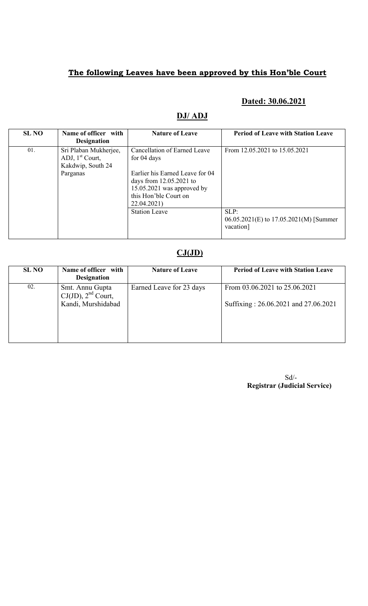## Dated: 30.06.2021

#### DJ/ ADJ

| <b>SL NO</b> | Name of officer with<br><b>Designation</b>                                  | <b>Nature of Leave</b>                                                                                                                                                              | <b>Period of Leave with Station Leave</b>                   |
|--------------|-----------------------------------------------------------------------------|-------------------------------------------------------------------------------------------------------------------------------------------------------------------------------------|-------------------------------------------------------------|
| 01.          | Sri Plaban Mukherjee,<br>ADJ, $1st$ Court,<br>Kakdwip, South 24<br>Parganas | Cancellation of Earned Leave<br>for 04 days<br>Earlier his Earned Leave for 04<br>days from $12.05.2021$ to<br>$15.05.2021$ was approved by<br>this Hon'ble Court on<br>22.04.2021) | From 12.05.2021 to 15.05.2021                               |
|              |                                                                             | <b>Station Leave</b>                                                                                                                                                                | SLP:<br>06.05.2021(E) to 17.05.2021(M) [Summer<br>vacation] |

# $CJ(JD)$

| <b>SL NO</b> | Name of officer with<br><b>Designation</b>                       | <b>Nature of Leave</b>   | <b>Period of Leave with Station Leave</b>                             |
|--------------|------------------------------------------------------------------|--------------------------|-----------------------------------------------------------------------|
| 02.          | Smt. Annu Gupta<br>$CJ(JD)$ , $2nd$ Court,<br>Kandi, Murshidabad | Earned Leave for 23 days | From 03.06.2021 to 25.06.2021<br>Suffixing: 26.06.2021 and 27.06.2021 |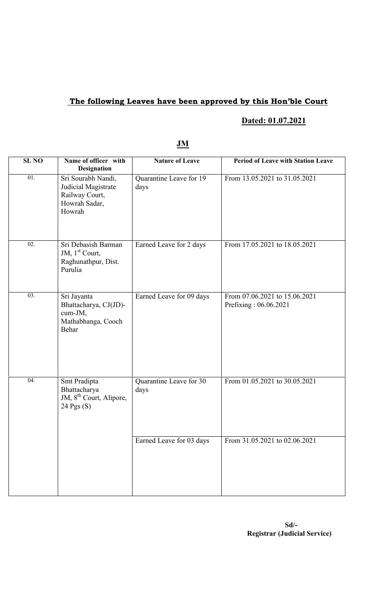# Dated: 01.07.2021

| <b>SL NO</b>      | Name of officer with<br><b>Designation</b>                                             | <b>Nature of Leave</b>          | <b>Period of Leave with Station Leave</b>              |
|-------------------|----------------------------------------------------------------------------------------|---------------------------------|--------------------------------------------------------|
| 01.               | Sri Sourabh Nandi,<br>Judicial Magistrate<br>Railway Court,<br>Howrah Sadar,<br>Howrah | Quarantine Leave for 19<br>days | From 13.05.2021 to 31.05.2021                          |
| $\overline{02}$ . | Sri Debasish Barman<br>JM, $1st$ Court,<br>Raghunathpur, Dist.<br>Purulia              | Earned Leave for 2 days         | From 17.05.2021 to 18.05.2021                          |
| $\overline{03}$ . | Sri Jayanta<br>Bhattacharya, CJ(JD)-<br>cum-JM,<br>Mathabhanga, Cooch<br>Behar         | Earned Leave for 09 days        | From 07.06.2021 to 15.06.2021<br>Prefixing: 06.06.2021 |
| $\overline{04}$ . | Smt Pradipta<br>Bhattacharya<br>JM, 8 <sup>th</sup> Court, Alipore,<br>24 Pgs (S)      | Quarantine Leave for 30<br>days | From 01.05.2021 to 30.05.2021                          |
|                   |                                                                                        | Earned Leave for 03 days        | From 31.05.2021 to 02.06.2021                          |

### JM